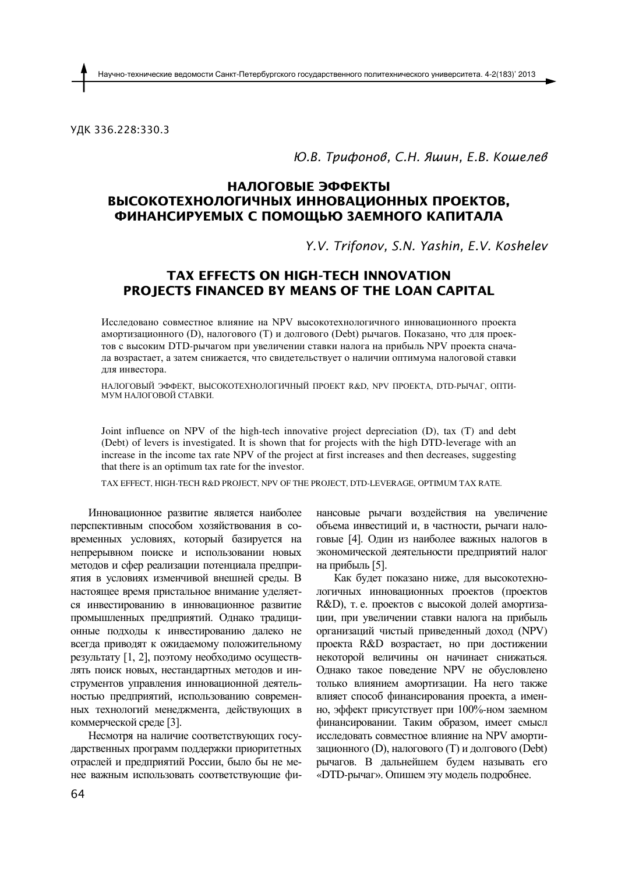УДК 336.228:330.3

### *Ю.В. Трифонов, С.Н. Яшин, Е.В. Кошелев*

# **НАЛОГОВЫЕ ЭФФЕКТЫ ВЫСОКОТЕХНОЛОГИЧНЫХ ИННОВАЦИОННЫХ ПРОЕКТОВ, ФИНАНСИРУЕМЫХ С ПОМОЩЬЮ ЗАЕМНОГО КАПИТАЛА**

*Y.V. Trifonov, S.N. Yashin, E.V. Koshelev*

## **TAX EFFECTS ON HIGH***-***TECH INNOVATION PROJECTS FINANCED BY MEANS OF THE LOAN CAPITAL**

Исследовано совместное влияние на NPV высокотехнологичного инновационного проекта амортизационного (D), налогового (T) и долгового (Debt) рычагов. Показано, что для проектов с высоким DTD-рычагом при увеличении ставки налога на прибыль NPV проекта сначала возрастает, а затем снижается, что свидетельствует о наличии оптимума налоговой ставки для инвестора.

НАЛОГОВЫЙ ЭФФЕКТ, ВЫСОКОТЕХНОЛОГИЧНЫЙ ПРОЕКТ R&D, NPV ПРОЕКТА, DTD-РЫЧАГ, ОПТИ-МУМ НАЛОГОВОЙ СТАВКИ.

Joint influence on NPV of the high*-*tech innovative project depreciation (D), tax (T) and debt (Debt) of levers is investigated. It is shown that for projects with the high DTD*-*leverage with an increase in the income tax rate NPV of the project at first increases and then decreases, suggesting that there is an optimum tax rate for the investor.

TAX EFFECT, HIGH*-*TECH R&D PROJECT, NPV OF THE PROJECT, DTD*-*LEVERAGE, OPTIMUM TAX RATE.

Инновационное развитие является наиболее перспективным способом хозяйствования в современных условиях, который базируется на непрерывном поиске и использовании новых методов и сфер реализации потенциала предприятия в условиях изменчивой внешней среды. В настоящее время пристальное внимание уделяется инвестированию в инновационное развитие промышленных предприятий. Однако традиционные подходы к инвестированию далеко не всегда приводят к ожидаемому положительному результату [1, 2], поэтому необходимо осуществлять поиск новых, нестандартных методов и инструментов управления инновационной деятельностью предприятий, использованию современных технологий менелжмента, лействующих в коммерческой среде [3].

Несмотря на наличие соответствующих государственных программ поддержки приоритетных отраслей и предприятий России, было бы не менее важным использовать соответствующие фи-

нансовые рычаги воздействия на увеличение объема инвестиций и, в частности, рычаги налоговые [4]. Один из наиболее важных налогов в экономической деятельности предприятий налог на прибыль [5].

Как будет показано ниже, для высокотехнологичных инновационных проектов (проектов R&D), т. е. проектов с высокой долей амортизации, при увеличении ставки налога на прибыль организаций чистый приведенный доход (NPV) проекта R&D возрастает, но при достижении некоторой величины он начинает снижаться. Однако такое поведение NPV не обусловлено только влиянием амортизации. На него также влияет способ финансирования проекта, а именно, эффект присутствует при 100%-ном заемном финансировании. Таким образом, имеет смысл исследовать совместное влияние на NPV амортизационного (D), налогового (T) и долгового (Debt) рычагов. В дальнейшем будем называть его «**DTD**-рычаг». Опишем эту модель подробнее.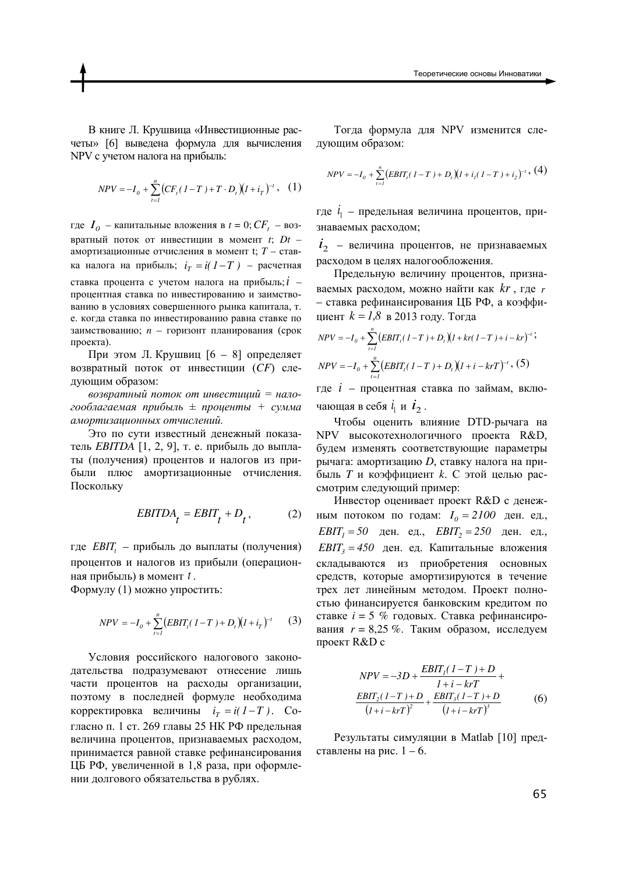В книге Л. Крушвица «Инвестиционные расчеты» [6] выведена формула для вычисления NPV с учетом налога на прибыль:

$$
NPV = -I_0 + \sum_{t=1}^{n} \left( CF_t (1 - T) + T \cdot D_t \right) (1 + i_T)^{-t}, \quad (1)
$$

где  $I_0$  – капитальные вложения в  $t = 0$ ;  $CF_t$  – возвратный поток от инвестиции в момент *t*; *Dt* – амортизационные отчисления в момент t; *T* – ставка налога на прибыль;  $i<sub>r</sub> = i(1-T)$  – расчетная ставка процента с учетом налога на прибыль;  $i$ процентная ставка по инвестированию и заимствованию в условиях совершенного рынка капитала, т. е. когда ставка по инвестированию равна ставке по заимствованию; *n* – горизонт планирования (срок проекта).

При этом Л. Крушвиц  $[6 - 8]$  определяет возвратный поток от инвестиции (CF) следующим образом:

возвратный поток от инвестиций = нало- $\cos\theta$ лагаемая прибыль  $\pm$  проценты  $+$  сумма  $a$ мортизационных отчислений.

Это по сути известный денежный показатель *EBITDA* [1, 2, 9], т. е. прибыль до выплаты (получения) процентов и налогов из прибыли плюс амортизационные отчисления. Поскольку

$$
EBITDA_t = EBIT_t + D_t, \qquad (2)
$$

где *EBIT*<sub>t</sub> – прибыль до выплаты (получения) процентов и налогов из прибыли (операционная прибыль) в момент t.

Формулу (1) можно упростить:

$$
NPV = -I_0 + \sum_{t=1}^{n} (EBIT_t(1-T) + D_t)(1 + i_T)^{-t}
$$
 (3)

Условия российского налогового законодательства подразумевают отнесение лишь части процентов на расходы организации, поэтому в последней формуле необходима корректировка величины  $i<sub>T</sub> = i(1-T)$ . Согласно п. 1 ст. 269 главы 25 НК РФ предельная величина процентов, признаваемых расходом, принимается равной ставке рефинансирования ЦБ РФ, увеличенной в 1,8 раза, при оформлении долгового обязательства в рублях.

Тогда формула для NPV изменится следующим образом:

$$
NPV = -I_0 + \sum_{t=1}^{n} (EBIT_t(1 - T) + D_t)(1 + i_1(1 - T) + i_2)^{-t}, (4)
$$

где  $l_1$  – предельная величина процентов, признаваемых расходом;

 $\dot{t}_2$  – величина процентов, не признаваемых расходом в целях налогообложения.

Предельную величину процентов, признаваемых расходом, можно найти как kr, где r – ставка рефинансирования ЦБ РФ, а коэффициент  $k = 1,8$  в 2013 году. Тогда

$$
NPV = -I_0 + \sum_{i=1}^{n} (EBIT_i(1-T) + D_i)(1 + kr(1-T) + i - kr)^{-t};
$$
  
\n
$$
NPV = -I_0 + \sum_{i=1}^{n} (EBIT_i(1-T) + D_i)(1 + i - krT)^{-t}, (5)
$$

где  $i$  – процентная ставка по займам, включающая в себя  $\dot{i}_1$  и  $\dot{i}_2$ .

Чтобы оценить влияние DTD-рычага на NPV высокотехнологичного проекта R&D, будем изменять соответствующие параметры рычага: амортизацию *D*, ставку налога на прибыль *Т* и коэффициент *k*. С этой целью рассмотрим следующий пример:

Инвестор оценивает проект R&D с денежным потоком по годам:  $I_0 = 2100$  ден. ед.,  $EBIT_1 = 50$  *I*  $250$  *ZOU*. *EBIT***<sub>2</sub> = 250** *ZOU***.**  $EBIT_3 = 450$  ден. ед. Капитальные вложения складываются из приобретения основных средств, которые амортизируются в течение трех лет линейным методом. Проект полностью финансируется банковским кредитом по ставке *i* = 5 % годовых. Ставка рефинансирования  $r = 8,25\%$ . Таким образом, исследуем проект R&D с

$$
NPV = -3D + \frac{EBIT_{1}(1-T) + D}{1 + i - krT} + \frac{EBIT_{2}(1-T) + D}{(1 + i - krT)^{2}} + \frac{EBIT_{3}(1-T) + D}{(1 + i - krT)^{3}}
$$
(6)

Результаты симуляции в Matlab [10] представлены на рис.  $1 - 6$ .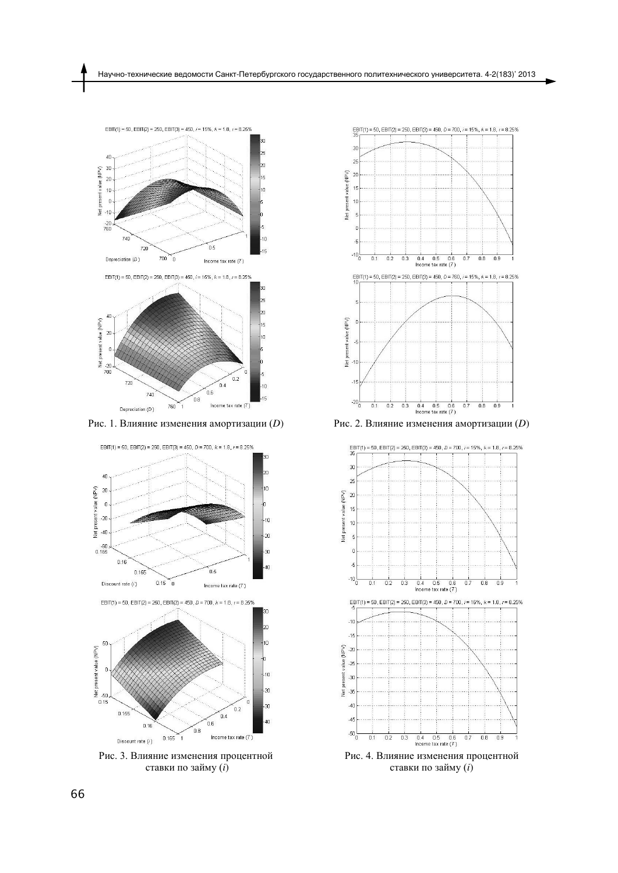

Рис. 1. Влияние изменения амортизации (D)



Рис. 3. Влияние изменения процентной ставки по займу (*i*)



Рис. 2. Влияние изменения амортизации (D)



ставки по займу (*i*)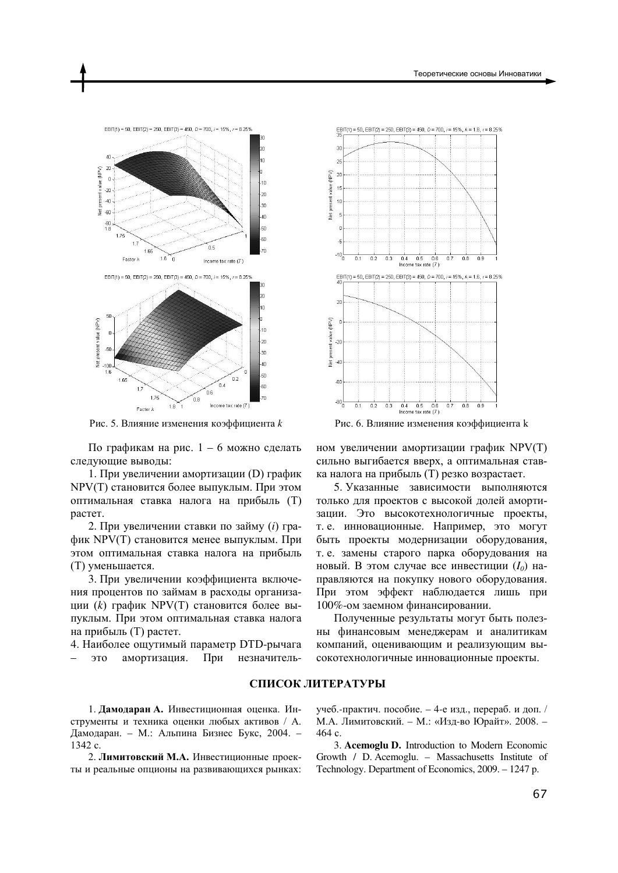

Рис. 5. Влияние изменения коэффициента *k* 

По графикам на рис.  $1 - 6$  можно сделать следующие выводы:

1. При увеличении амортизации (D) график NPV(T) становится более выпуклым. При этом оптимальная ставка налога на прибыль (T) растет.

2. При увеличении ставки по займу (*i*) график NPV(T) становится менее выпуклым. При этом оптимальная ставка налога на прибыль (Т) уменьшается.

3. При увеличении коэффициента включения процентов по займам в расходы организации (k) график NPV(T) становится более выпуклым. При этом оптимальная ставка налога на прибыль (T) растет.

4. Наиболее ощутимый параметр DTD-рычага это амортизация. При незначитель-



Рис. 6. Влияние изменения коэффициента к

ном увеличении амортизации график NPV(T) сильно выгибается вверх, а оптимальная ставка налога на прибыль (T) резко возрастает.

5. Указанные зависимости выполняются только для проектов с высокой долей амортизации. Это высокотехнологичные проекты, т. е. инновационные. Например, это могут быть проекты модернизации оборудования, т. е. замены старого парка оборудования на новый. В этом случае все инвестиции  $(I_0)$  направляются на покупку нового оборудования. При этом эффект наблюдается лишь при 100%-ом заемном финансировании.

Полученные результаты могут быть полезны финансовым менеджерам и аналитикам компаний, оценивающим и реализующим высокотехнологичные инновационные проекты.

#### СПИСОК ЛИТЕРАТУРЫ

1. Дамодаран А. Инвестиционная оценка. Инструменты и техника оценки любых активов / А. Дамодаран. – М.: Альпина Бизнес Букс, 2004. – 1342 c.

2. Лимитовский М.А. Инвестиционные проекты и реальные опционы на развивающихся рынках: учеб.-практич. пособие. – 4-е изд., перераб. и доп. / М.А. Лимитовский. – М.: «Изд-во Юрайт». 2008. – 464 c.

3. **Acemoglu D.** Introduction to Modern Economic Growth / D. Acemoglu. – Massachusetts Institute of Technology. Department of Economics, 2009. – 1247 p.